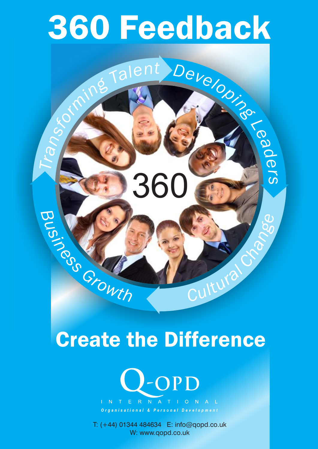# 360 Feedback

*<sup>i</sup><sup>n</sup> <sup>m</sup>*

*ro*

*f*

*s*

*n*

*ar*

*T*

*g*

**260 360** 

*T*

*a*

*le*

*n*

*t*

 $rac{6}{5}$ 

 $\omega$ 

Cultura Crack

*lo*

*e*

*v*

*e*

*D*

*L*

*ea*

*d*

 $\boldsymbol{\omega}$ 

*r*

 $\mathcal{S}$ 

**SO** 

## Create the Difference



T: (+44) 01344 484634 E: info@qopd.co.uk W: www.qopd.co.uk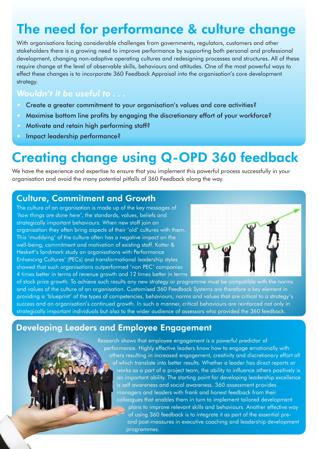## The need for performance & culture change

With organisations facing considerable challenges from governments, regulators, customers and other stakeholders there is a growing need to improve performance by supporting both personal and professional development, changing non-adaptive operating cultures and redesigning processes and structures. All of these require change at the level of observable skills, behaviours and attitudes. One of the most powerful ways to effect these changes is to incorporate 360 Feedback Appraisal into the organisation's core development strategy.

#### *Wouldn't it be useful to . . .*

- **Create a greater commitment to your organisation's values and core activities?**
- ? Maximise bottom line profits by engaging the discretionary effort of your workforce?
- ? Motivate and retain high performing staff?
- ? Impact leadership performance?

## Creating change using Q-OPD 360 feedback

We have the experience and expertise to ensure that you implement this powerful process successfully in your organisation and avoid the many potential pitfalls of 360 Feedback along the way.

#### Culture, Commitment and Growth

The culture of an organisation is made up of the key messages of *'how things are done here'*, the standards, values, beliefs and strategically important behaviours. When new staff join an organisation they often bring aspects of their 'old' cultures with them. This 'muddying' of the culture often has a negative impact on the well-being, commitment and motivation of existing staff. Kotter & Heskett's landmark study on organisations with Performance Enhancing Cultures' (PECs) and transformational leadership styles showed that such organisations outperformed 'non PEC' companies 4 times better in terms of revenue growth and 12 times better in terms



of stock price growth. To achieve such results any new strategy or programme must be compatible with the norms and values of the culture of an organisation. Customised 360 Feedback Systems are therefore a key element in providing a 'blueprint' of the types of competencies, behaviours, norms and values that are critical to a strategy's success and an organisation's continued growth. In such a manner, critical behaviours are reinforced not only in strategically important individuals but also to the wider audience of assessors who provided the 360 feedback.

#### Developing Leaders and Employee Engagement

Research shows that employee engagement is a powerful predictor of performance. Highly effective leaders know how to engage emotionally with others resulting in increased engagement, creativity and discretionary effort all of which translate into better results. Whether a leader has direct reports or works as a part of a project team, the ability to influence others positively is an important ability. The starting point for developing leadership excellence is self awareness and social awareness. 360 assessment provides managers and leaders with frank and honest feedback from their colleagues that enables them in turn to implement tailored development plans to improve relevant skills and behaviours. Another effective way of using 360 feedback is to integrate it as part of the essential preand post-measures in executive coaching and leadership development programmes.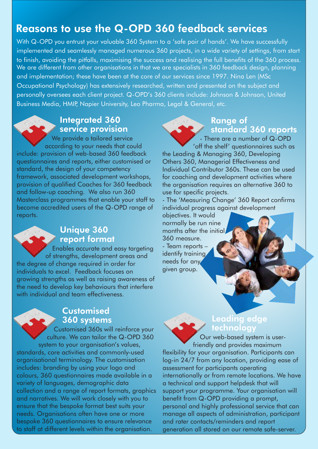#### Reasons to use the Q-OPD 360 feedback services

With Q-OPD you entrust your valuable 360 System to a 'safe pair of hands'. We have successfully implemented and seamlessly managed numerous 360 projects, in a wide variety of settings, from start to finish, avoiding the pitfalls, maximising the success and realising the full benefits of the 360 process. We are different from other organisations in that we are specialists in 360 feedback design, planning and implementation; these have been at the core of our services since 1997. Nina Len (MSc Occupational Psychology) has extensively researched, written and presented on the subject and personally oversees each client project. Q-OPD's 360 clients include: Johnson & Johnson, United Business Media, HMIP, Napier University, Leo Pharma, Legal & General, etc.

#### Integrated 360 service provision

We provide a tailored service according to your needs that could

include: provision of web-based 360 feedback questionnaires and reports, either customised or standard, the design of your competency framework, associated development workshops, provision of qualified Coaches for 360 feedback and follow-up coaching. We also run 360 Masterclass programmes that enable your staff to become accredited users of the Q-OPD range of reports.



#### Unique 360 report format

**Enables accurate and easy targeting** of strengths, development areas and the degree of change required in order for individuals to excel. Feedback focuses on growing strengths as well as raising awareness of the need to develop key behaviours that interfere with individual and team effectiveness.

#### **Customised** 360 systems

Customised 360s will reinforce your culture. We can tailor the Q-OPD 360 system to your organisation's values, standards, core activities and commonly-used organisational terminology. The customisation includes: branding by using your logo and colours, 360 questionnaires made available in a variety of languages, demographic data collection and a range of report formats, graphics and narratives. We will work closely with you to ensure that the bespoke format best suits your needs. Organisations often have one or more bespoke 360 questionnaires to ensure relevance to staff at different levels within the organisation.



- There are a number of Q-OPD 'off the shelf' questionnaires such as

the Leading & Managing 360, Developing Others 360, Managerial Effectiveness and Individual Contributor 360s. These can be used for coaching and development activities where the organisation requires an alternative 360 to use for specific projects.

- The 'Measuring Change' 360 Report confirms individual progress against development

objectives. It would normally be run nine months after the initial 360 measure.

- Team reports – identify training needs for any given group.

#### Leading edge technology

Our web-based system is userfriendly and provides maximum flexibility for your organisation. Participants can log-in 24/7 from any location, providing ease of assessment for participants operating internationally or from remote locations. We have a technical and support helpdesk that will support your programme. Your organisation will benefit from Q-OPD providing a prompt, personal and highly professional service that can manage all aspects of administration, participant and rater contacts/reminders and report generation all stored on our remote safe-server.